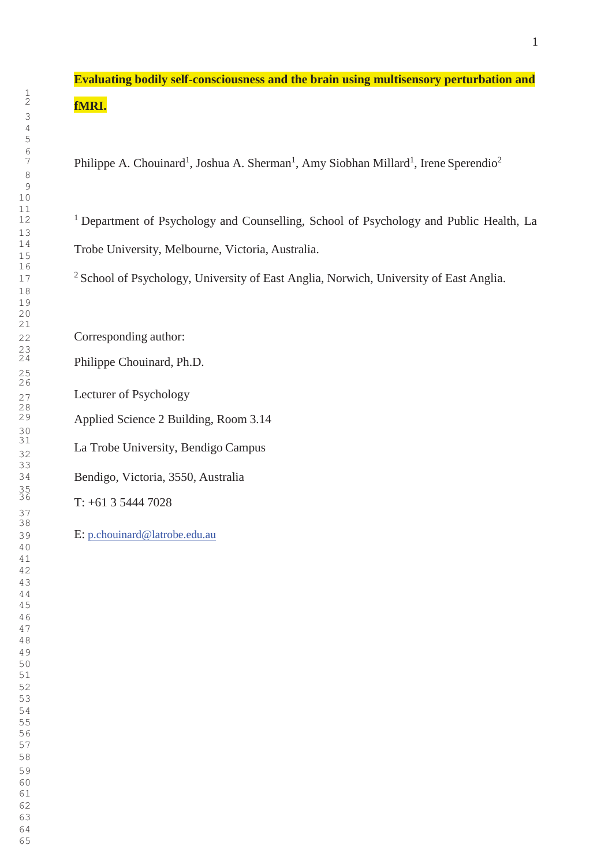# **Evaluating bodily self-consciousness and the brain using multisensory perturbation and fMRI.**

<sup>7</sup> Philippe A. Chouinard<sup>1</sup>, Joshua A. Sherman<sup>1</sup>, Amy Siobhan Millard<sup>1</sup>, Irene Sperendio<sup>2</sup>

<sup>1</sup> Department of Psychology and Counselling, School of Psychology and Public Health, La Trobe University, Melbourne, Victoria, Australia.

<sup>2</sup> School of Psychology, University of East Anglia, Norwich, University of East Anglia.

Corresponding author:

Philippe Chouinard, Ph.D.

Lecturer of Psychology

Applied Science 2 Building, Room 3.14

La Trobe University, Bendigo Campus

Bendigo, Victoria, 3550, Australia

 $T: +61$  3 5444 7028

E: [p.chouinard@latrobe.edu.au](mailto:p.chouinard@latrobe.edu.au)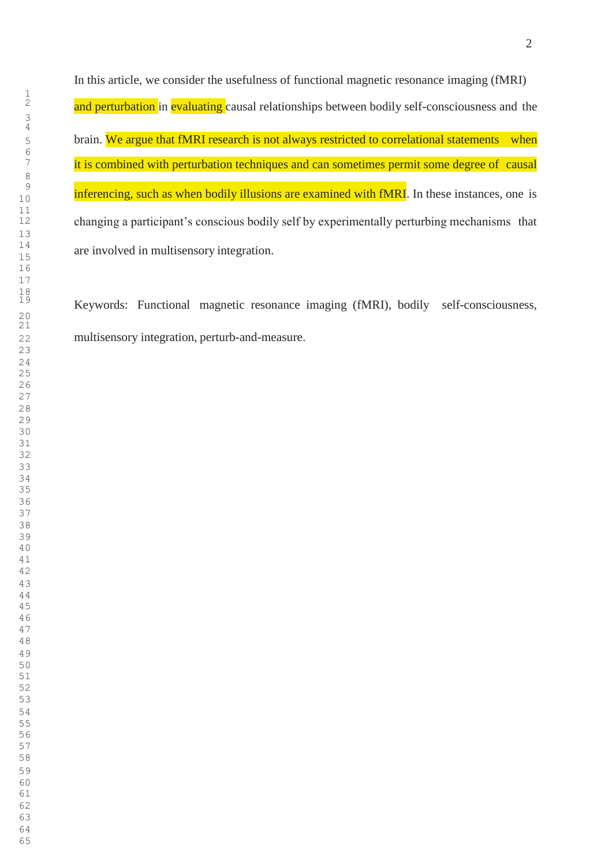In this article, we consider the usefulness of functional magnetic resonance imaging (fMRI) and perturbation in evaluating causal relationships between bodily self-consciousness and the 5 brain. We argue that fMRI research is not always restricted to correlational statements when it is combined with perturbation techniques and can sometimes permit some degree of causal inferencing, such as when bodily illusions are examined with fMRI. In these instances, one is changing a participant's conscious bodily self by experimentally perturbing mechanisms that are involved in multisensory integration.

 Keywords: Functional magnetic resonance imaging (fMRI), bodily self-consciousness, multisensory integration, perturb-and-measure.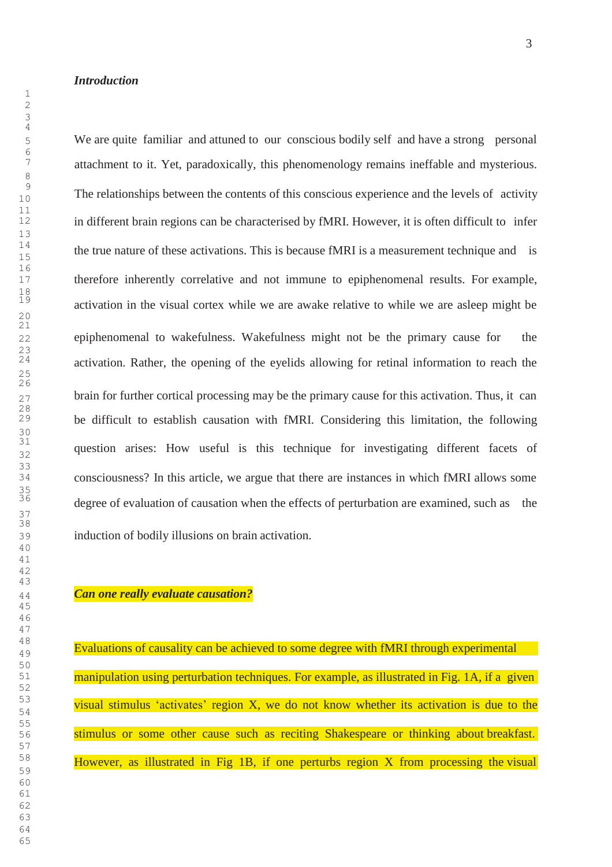#### *Introduction*

 We are quite familiar and attuned to our conscious bodily self and have a strong personal attachment to it. Yet, paradoxically, this phenomenology remains ineffable and mysterious. The relationships between the contents of this conscious experience and the levels of activity in different brain regions can be characterised by fMRI. However, it is often difficult to infer the true nature of these activations. This is because fMRI is a measurement technique and is therefore inherently correlative and not immune to epiphenomenal results. For example, activation in the visual cortex while we are awake relative to while we are asleep might be epiphenomenal to wakefulness. Wakefulness might not be the primary cause for the activation. Rather, the opening of the eyelids allowing for retinal information to reach the brain for further cortical processing may be the primary cause for this activation. Thus, it can be difficult to establish causation with fMRI. Considering this limitation, the following question arises: How useful is this technique for investigating different facets of consciousness? In this article, we argue that there are instances in which fMRI allows some degree of evaluation of causation when the effects of perturbation are examined, such as the induction of bodily illusions on brain activation.

## *Can one really evaluate causation?*

Evaluations of causality can be achieved to some degree with fMRI through experimental manipulation using perturbation techniques. For example, as illustrated in Fig. 1A, if a given visual stimulus 'activates' region X, we do not know whether its activation is due to the stimulus or some other cause such as reciting Shakespeare or thinking about breakfast. However, as illustrated in Fig 1B, if one perturbs region X from processing the visual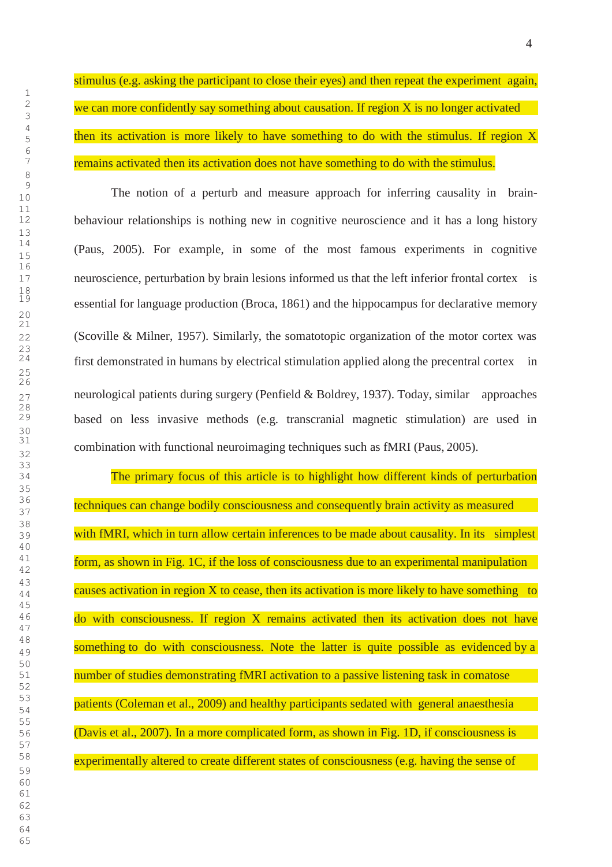remains activated then its activation does not have something to do with the stimulus. stimulus (e.g. asking the participant to close their eyes) and then repeat the experiment again, we can more confidently say something about causation. If region X is no longer activated then its activation is more likely to have something to do with the stimulus. If region X

The notion of a perturb and measure approach for inferring causality in brainbehaviour relationships is nothing new in cognitive neuroscience and it has a long history (Paus, 2005). For example, in some of the most famous experiments in cognitive neuroscience, perturbation by brain lesions informed us that the left inferior frontal cortex is essential for language production (Broca, 1861) and the hippocampus for declarative memory (Scoville & Milner, 1957). Similarly, the somatotopic organization of the motor cortex was first demonstrated in humans by electrical stimulation applied along the precentral cortex in neurological patients during surgery (Penfield & Boldrey, 1937). Today, similar approaches based on less invasive methods (e.g. transcranial magnetic stimulation) are used in combination with functional neuroimaging techniques such as fMRI (Paus, 2005).

experimentally altered to create different states of consciousness (e.g. having the sense of The primary focus of this article is to highlight how different kinds of perturbation techniques can change bodily consciousness and consequently brain activity as measured with fMRI, which in turn allow certain inferences to be made about causality. In its simplest form, as shown in Fig. 1C, if the loss of consciousness due to an experimental manipulation causes activation in region X to cease, then its activation is more likely to have something to do with consciousness. If region X remains activated then its activation does not have something to do with consciousness. Note the latter is quite possible as evidenced by a number of studies demonstrating fMRI activation to a passive listening task in comatose patients (Coleman et al., 2009) and healthy participants sedated with general anaesthesia (Davis et al., 2007). In a more complicated form, as shown in Fig. 1D, if consciousness is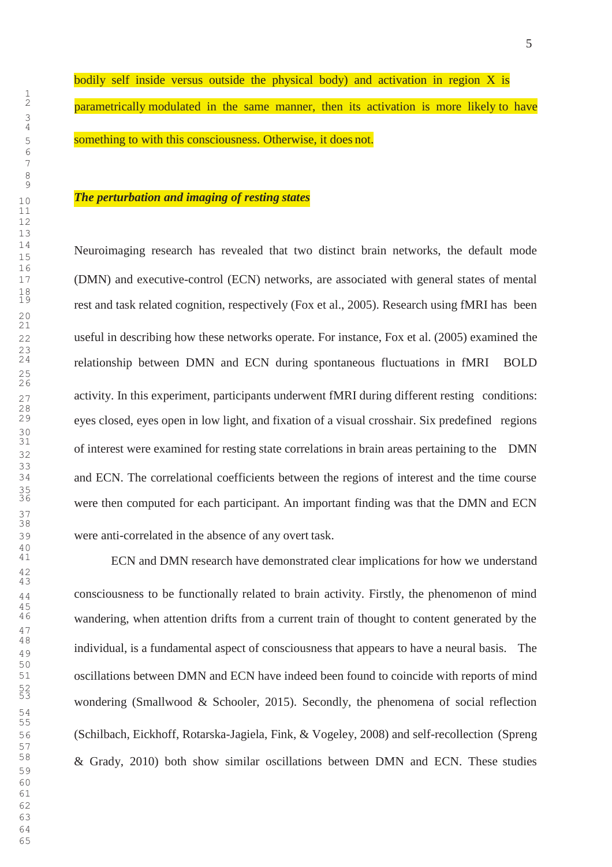bodily self inside versus outside the physical body) and activation in region X is parametrically modulated in the same manner, then its activation is more likely to have something to with this consciousness. Otherwise, it does not.

## *The perturbation and imaging of resting states*

Neuroimaging research has revealed that two distinct brain networks, the default mode (DMN) and executive-control (ECN) networks, are associated with general states of mental rest and task related cognition, respectively (Fox et al., 2005). Research using fMRI has been useful in describing how these networks operate. For instance, Fox et al. (2005) examined the relationship between DMN and ECN during spontaneous fluctuations in fMRI BOLD activity. In this experiment, participants underwent fMRI during different resting conditions: eyes closed, eyes open in low light, and fixation of a visual crosshair. Six predefined regions of interest were examined for resting state correlations in brain areas pertaining to the DMN and ECN. The correlational coefficients between the regions of interest and the time course were then computed for each participant. An important finding was that the DMN and ECN were anti-correlated in the absence of any overt task.

ECN and DMN research have demonstrated clear implications for how we understand consciousness to be functionally related to brain activity. Firstly, the phenomenon of mind wandering, when attention drifts from a current train of thought to content generated by the individual, is a fundamental aspect of consciousness that appears to have a neural basis. The oscillations between DMN and ECN have indeed been found to coincide with reports of mind wondering (Smallwood & Schooler, 2015). Secondly, the phenomena of social reflection (Schilbach, Eickhoff, Rotarska-Jagiela, Fink, & Vogeley, 2008) and self-recollection (Spreng & Grady, 2010) both show similar oscillations between DMN and ECN. These studies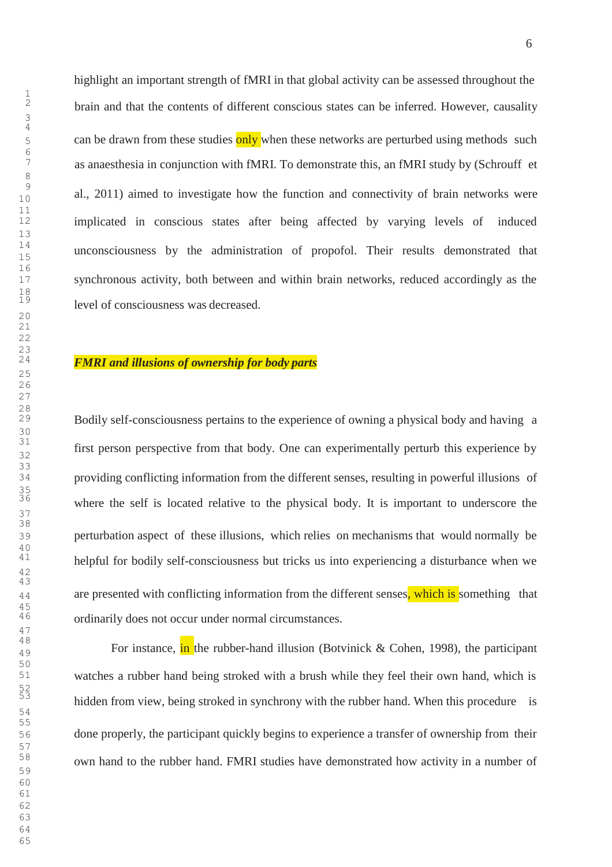highlight an important strength of fMRI in that global activity can be assessed throughout the brain and that the contents of different conscious states can be inferred. However, causality 5 can be drawn from these studies only when these networks are perturbed using methods such as anaesthesia in conjunction with fMRI. To demonstrate this, an fMRI study by (Schrouff et al., 2011) aimed to investigate how the function and connectivity of brain networks were implicated in conscious states after being affected by varying levels of induced unconsciousness by the administration of propofol. Their results demonstrated that synchronous activity, both between and within brain networks, reduced accordingly as the level of consciousness was decreased.

## *FMRI and illusions of ownership for body parts*

Bodily self-consciousness pertains to the experience of owning a physical body and having a first person perspective from that body. One can experimentally perturb this experience by providing conflicting information from the different senses, resulting in powerful illusions of where the self is located relative to the physical body. It is important to underscore the perturbation aspect of these illusions, which relies on mechanisms that would normally be helpful for bodily self-consciousness but tricks us into experiencing a disturbance when we <sub>44</sub> are presented with conflicting information from the different senses, which is something that ordinarily does not occur under normal circumstances.

For instance, in the rubber-hand illusion (Botvinick & Cohen, 1998), the participant watches a rubber hand being stroked with a brush while they feel their own hand, which is hidden from view, being stroked in synchrony with the rubber hand. When this procedure is done properly, the participant quickly begins to experience a transfer of ownership from their own hand to the rubber hand. FMRI studies have demonstrated how activity in a number of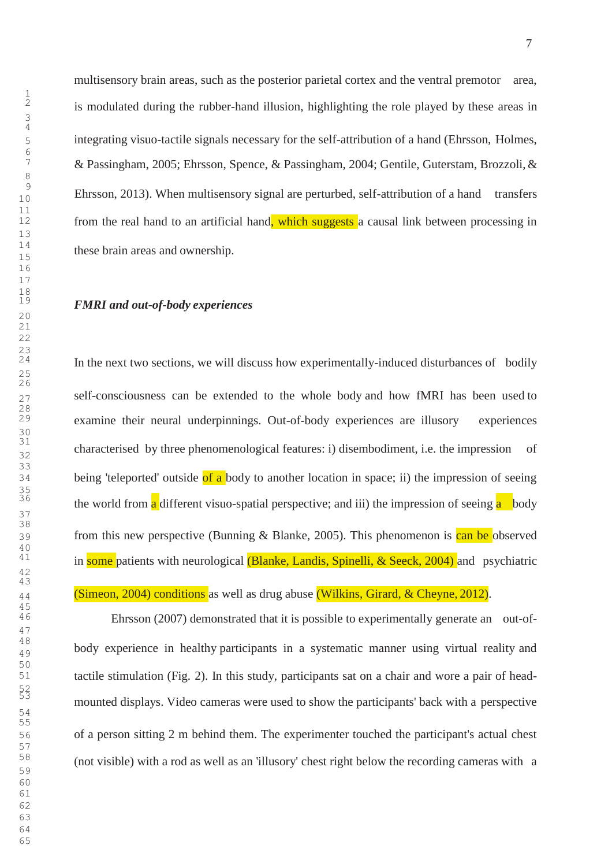multisensory brain areas, such as the posterior parietal cortex and the ventral premotor area, is modulated during the rubber-hand illusion, highlighting the role played by these areas in integrating visuo-tactile signals necessary for the self-attribution of a hand (Ehrsson, Holmes, & Passingham, 2005; Ehrsson, Spence, & Passingham, 2004; Gentile, Guterstam, Brozzoli, & Ehrsson, 2013). When multisensory signal are perturbed, self-attribution of a hand transfers from the real hand to an artificial hand, which suggests a causal link between processing in these brain areas and ownership.

#### *FMRI and out-of-body experiences*

In the next two sections, we will discuss how experimentally-induced disturbances of bodily self-consciousness can be extended to the whole body and how fMRI has been used to examine their neural underpinnings. Out-of-body experiences are illusory experiences characterised by three phenomenological features: i) disembodiment, i.e. the impression of being 'teleported' outside of a body to another location in space; ii) the impression of seeing the world from a different visuo-spatial perspective; and iii) the impression of seeing a body 39 from this new perspective (Bunning & Blanke, 2005). This phenomenon is can be observed in some patients with neurological (Blanke, Landis, Spinelli, & Seeck, 2004) and psychiatric  $(Simeon, 2004)$  conditions as well as drug abuse (Wilkins, Girard, & Cheyne, 2012).

Ehrsson (2007) demonstrated that it is possible to experimentally generate an out-ofbody experience in healthy participants in a systematic manner using virtual reality and tactile stimulation (Fig. 2). In this study, participants sat on a chair and wore a pair of headmounted displays. Video cameras were used to show the participants' back with a perspective of a person sitting 2 m behind them. The experimenter touched the participant's actual chest (not visible) with a rod as well as an 'illusory' chest right below the recording cameras with a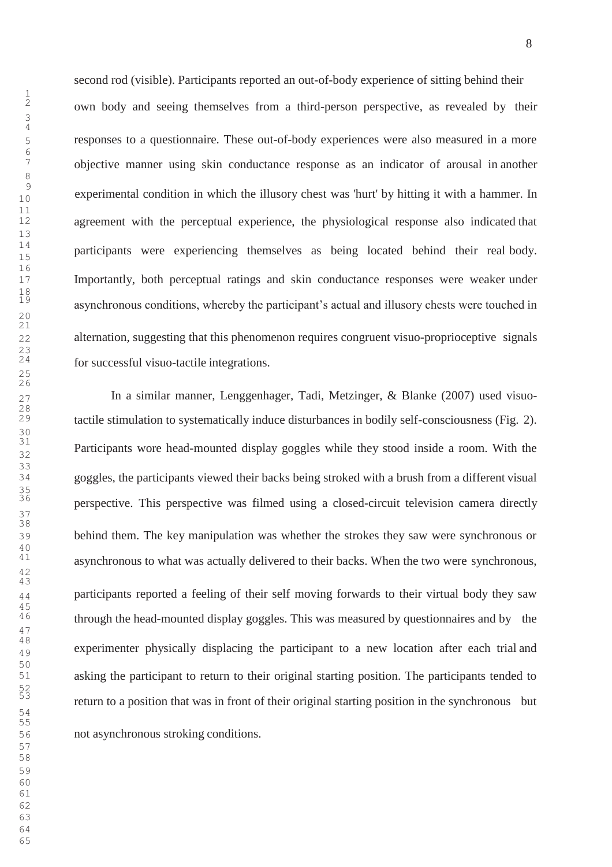second rod (visible). Participants reported an out-of-body experience of sitting behind their own body and seeing themselves from a third-person perspective, as revealed by their responses to a questionnaire. These out-of-body experiences were also measured in a more objective manner using skin conductance response as an indicator of arousal in another experimental condition in which the illusory chest was 'hurt' by hitting it with a hammer. In agreement with the perceptual experience, the physiological response also indicated that participants were experiencing themselves as being located behind their real body. Importantly, both perceptual ratings and skin conductance responses were weaker under asynchronous conditions, whereby the participant's actual and illusory chests were touched in alternation, suggesting that this phenomenon requires congruent visuo-proprioceptive signals for successful visuo-tactile integrations.

 In a similar manner, Lenggenhager, Tadi, Metzinger, & Blanke (2007) used visuo- tactile stimulation to systematically induce disturbances in bodily self-consciousness (Fig. 2). Participants wore head-mounted display goggles while they stood inside a room. With the goggles, the participants viewed their backs being stroked with a brush from a different visual perspective. This perspective was filmed using a closed-circuit television camera directly behind them. The key manipulation was whether the strokes they saw were synchronous or asynchronous to what was actually delivered to their backs. When the two were synchronous, participants reported a feeling of their self moving forwards to their virtual body they saw through the head-mounted display goggles. This was measured by questionnaires and by the experimenter physically displacing the participant to a new location after each trial and asking the participant to return to their original starting position. The participants tended to return to a position that was in front of their original starting position in the synchronous but not asynchronous stroking conditions.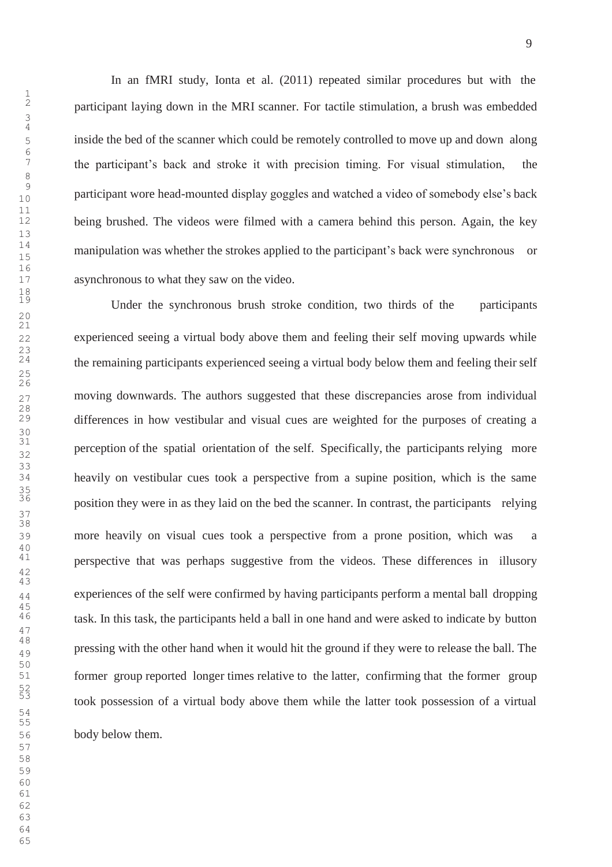In an fMRI study, Ionta et al. (2011) repeated similar procedures but with the participant laying down in the MRI scanner. For tactile stimulation, a brush was embedded inside the bed of the scanner which could be remotely controlled to move up and down along the participant's back and stroke it with precision timing. For visual stimulation, the participant wore head-mounted display goggles and watched a video of somebody else's back being brushed. The videos were filmed with a camera behind this person. Again, the key manipulation was whether the strokes applied to the participant's back were synchronous or asynchronous to what they saw on the video.

Under the synchronous brush stroke condition, two thirds of the participants experienced seeing a virtual body above them and feeling their self moving upwards while the remaining participants experienced seeing a virtual body below them and feeling their self moving downwards. The authors suggested that these discrepancies arose from individual differences in how vestibular and visual cues are weighted for the purposes of creating a perception of the spatial orientation of the self. Specifically, the participants relying more heavily on vestibular cues took a perspective from a supine position, which is the same position they were in as they laid on the bed the scanner. In contrast, the participants relying more heavily on visual cues took a perspective from a prone position, which was a perspective that was perhaps suggestive from the videos. These differences in illusory experiences of the self were confirmed by having participants perform a mental ball dropping task. In this task, the participants held a ball in one hand and were asked to indicate by button pressing with the other hand when it would hit the ground if they were to release the ball. The former group reported longer times relative to the latter, confirming that the former group took possession of a virtual body above them while the latter took possession of a virtual body below them.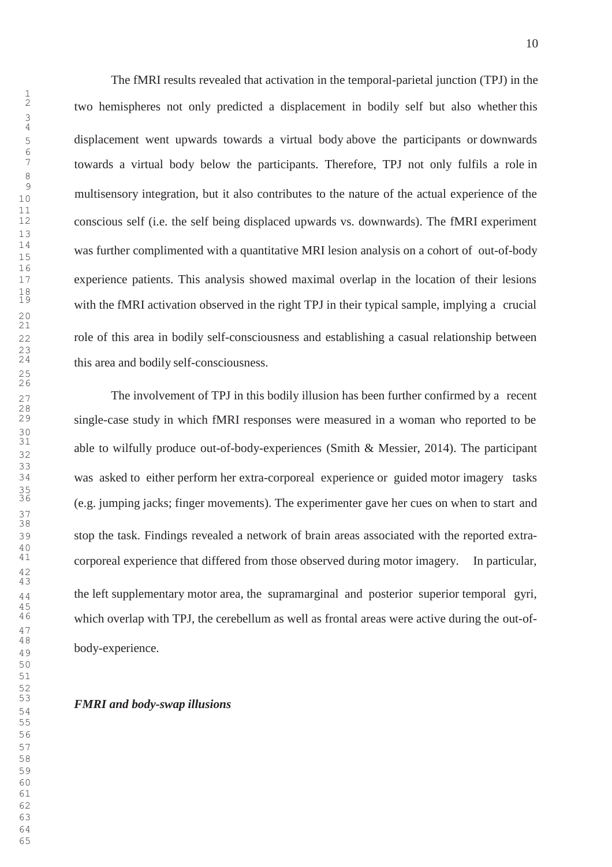The fMRI results revealed that activation in the temporal-parietal junction (TPJ) in the two hemispheres not only predicted a displacement in bodily self but also whether this displacement went upwards towards a virtual body above the participants or downwards towards a virtual body below the participants. Therefore, TPJ not only fulfils a role in multisensory integration, but it also contributes to the nature of the actual experience of the conscious self (i.e. the self being displaced upwards vs. downwards). The fMRI experiment was further complimented with a quantitative MRI lesion analysis on a cohort of out-of-body experience patients. This analysis showed maximal overlap in the location of their lesions with the fMRI activation observed in the right TPJ in their typical sample, implying a crucial role of this area in bodily self-consciousness and establishing a casual relationship between this area and bodily self-consciousness.

 The involvement of TPJ in this bodily illusion has been further confirmed by a recent single-case study in which fMRI responses were measured in a woman who reported to be able to wilfully produce out-of-body-experiences (Smith  $& Messier, 2014$ ). The participant was asked to either perform her extra-corporeal experience or guided motor imagery tasks (e.g. jumping jacks; finger movements). The experimenter gave her cues on when to start and stop the task. Findings revealed a network of brain areas associated with the reported extra- corporeal experience that differed from those observed during motor imagery. In particular, the left supplementary motor area, the supramarginal and posterior superior temporal gyri, which overlap with TPJ, the cerebellum as well as frontal areas were active during the out-ofbody-experience.

*FMRI and body-swap illusions*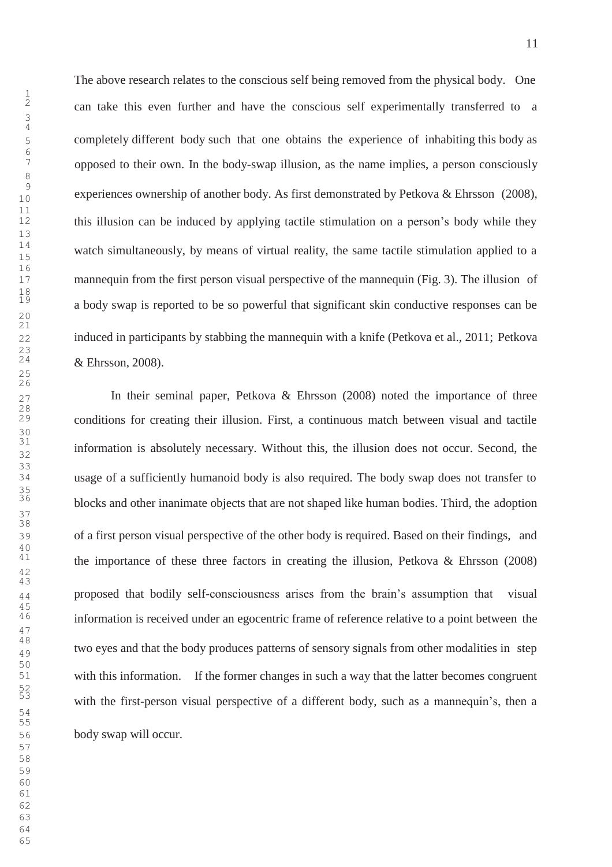The above research relates to the conscious self being removed from the physical body. One can take this even further and have the conscious self experimentally transferred to a completely different body such that one obtains the experience of inhabiting this body as opposed to their own. In the body-swap illusion, as the name implies, a person consciously experiences ownership of another body. As first demonstrated by Petkova & Ehrsson (2008), this illusion can be induced by applying tactile stimulation on a person's body while they watch simultaneously, by means of virtual reality, the same tactile stimulation applied to a mannequin from the first person visual perspective of the mannequin (Fig. 3). The illusion of a body swap is reported to be so powerful that significant skin conductive responses can be induced in participants by stabbing the mannequin with a knife (Petkova et al., 2011; Petkova & Ehrsson, 2008).

In their seminal paper, Petkova & Ehrsson  $(2008)$  noted the importance of three conditions for creating their illusion. First, a continuous match between visual and tactile information is absolutely necessary. Without this, the illusion does not occur. Second, the usage of a sufficiently humanoid body is also required. The body swap does not transfer to blocks and other inanimate objects that are not shaped like human bodies. Third, the adoption of a first person visual perspective of the other body is required. Based on their findings, and the importance of these three factors in creating the illusion, Petkova & Ehrsson (2008) proposed that bodily self-consciousness arises from the brain's assumption that visual information is received under an egocentric frame of reference relative to a point between the two eyes and that the body produces patterns of sensory signals from other modalities in step with this information. If the former changes in such a way that the latter becomes congruent with the first-person visual perspective of a different body, such as a mannequin's, then a body swap will occur.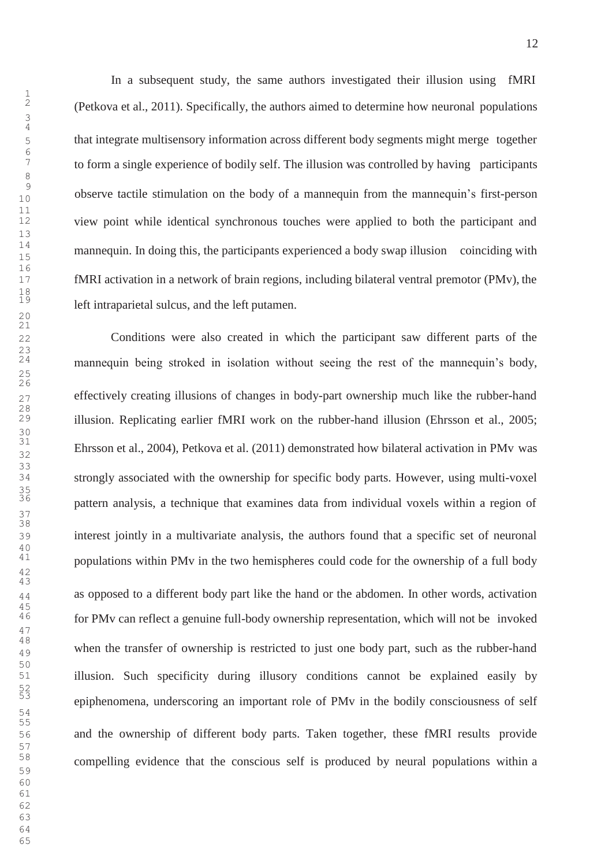In a subsequent study, the same authors investigated their illusion using fMRI (Petkova et al., 2011). Specifically, the authors aimed to determine how neuronal populations that integrate multisensory information across different body segments might merge together to form a single experience of bodily self. The illusion was controlled by having participants observe tactile stimulation on the body of a mannequin from the mannequin's first-person view point while identical synchronous touches were applied to both the participant and mannequin. In doing this, the participants experienced a body swap illusion coinciding with fMRI activation in a network of brain regions, including bilateral ventral premotor (PMv), the left intraparietal sulcus, and the left putamen.

 Conditions were also created in which the participant saw different parts of the mannequin being stroked in isolation without seeing the rest of the mannequin's body, effectively creating illusions of changes in body-part ownership much like the rubber-hand illusion. Replicating earlier fMRI work on the rubber-hand illusion (Ehrsson et al., 2005; Ehrsson et al., 2004), Petkova et al. (2011) demonstrated how bilateral activation in PMv was strongly associated with the ownership for specific body parts. However, using multi-voxel pattern analysis, a technique that examines data from individual voxels within a region of interest jointly in a multivariate analysis, the authors found that a specific set of neuronal populations within PMv in the two hemispheres could code for the ownership of a full body as opposed to a different body part like the hand or the abdomen. In other words, activation for PMv can reflect a genuine full-body ownership representation, which will not be invoked when the transfer of ownership is restricted to just one body part, such as the rubber-hand illusion. Such specificity during illusory conditions cannot be explained easily by epiphenomena, underscoring an important role of PMv in the bodily consciousness of self and the ownership of different body parts. Taken together, these fMRI results provide compelling evidence that the conscious self is produced by neural populations within a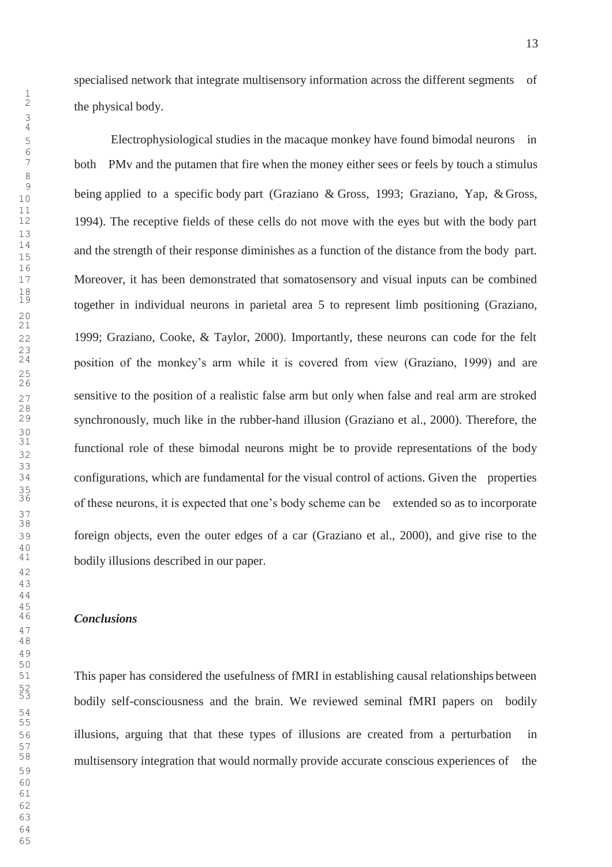specialised network that integrate multisensory information across the different segments of the physical body.

 Electrophysiological studies in the macaque monkey have found bimodal neurons in both PMv and the putamen that fire when the money either sees or feels by touch a stimulus being applied to a specific body part (Graziano & Gross, 1993; Graziano, Yap, & Gross, 1994). The receptive fields of these cells do not move with the eyes but with the body part and the strength of their response diminishes as a function of the distance from the body part. Moreover, it has been demonstrated that somatosensory and visual inputs can be combined together in individual neurons in parietal area 5 to represent limb positioning (Graziano, 1999; Graziano, Cooke, & Taylor, 2000). Importantly, these neurons can code for the felt position of the monkey's arm while it is covered from view (Graziano, 1999) and are sensitive to the position of a realistic false arm but only when false and real arm are stroked synchronously, much like in the rubber-hand illusion (Graziano et al., 2000). Therefore, the functional role of these bimodal neurons might be to provide representations of the body configurations, which are fundamental for the visual control of actions. Given the properties of these neurons, it is expected that one's body scheme can be extended so as to incorporate foreign objects, even the outer edges of a car (Graziano et al., 2000), and give rise to the bodily illusions described in our paper.

## *Conclusions*

 This paper has considered the usefulness of fMRI in establishing causal relationships between bodily self-consciousness and the brain. We reviewed seminal fMRI papers on bodily illusions, arguing that that these types of illusions are created from a perturbation in multisensory integration that would normally provide accurate conscious experiences of the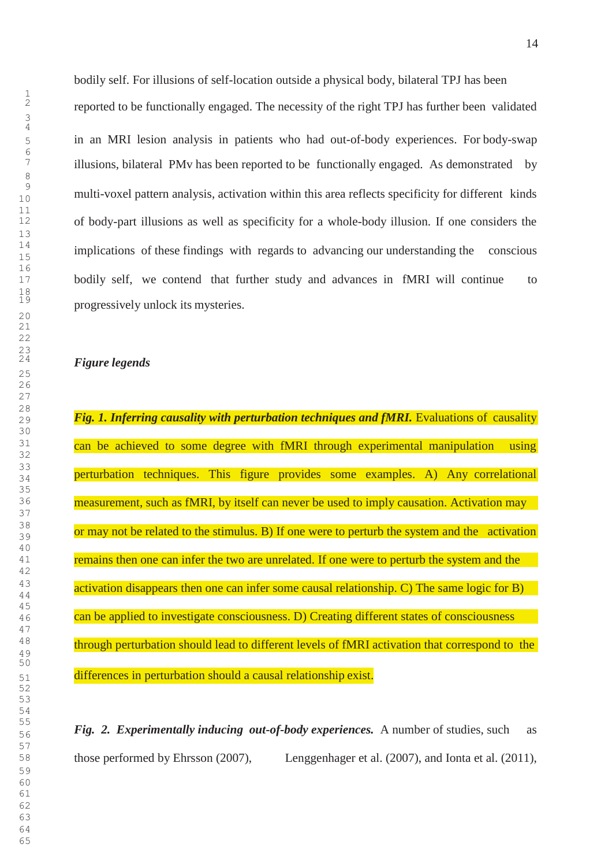bodily self. For illusions of self-location outside a physical body, bilateral TPJ has been reported to be functionally engaged. The necessity of the right TPJ has further been validated in an MRI lesion analysis in patients who had out-of-body experiences. For body-swap illusions, bilateral PMv has been reported to be functionally engaged. As demonstrated by multi-voxel pattern analysis, activation within this area reflects specificity for different kinds of body-part illusions as well as specificity for a whole-body illusion. If one considers the implications of these findings with regards to advancing our understanding the conscious bodily self, we contend that further study and advances in fMRI will continue to progressively unlock its mysteries.

#### *Figure legends*

 differences in perturbation should a causal relationship exist. *Fig. 1. Inferring causality with perturbation techniques and fMRI.* **Evaluations of causality** can be achieved to some degree with fMRI through experimental manipulation using perturbation techniques. This figure provides some examples. A) Any correlational measurement, such as fMRI, by itself can never be used to imply causation. Activation may or may not be related to the stimulus. B) If one were to perturb the system and the activation remains then one can infer the two are unrelated. If one were to perturb the system and the activation disappears then one can infer some causal relationship. C) The same logic for B) can be applied to investigate consciousness. D) Creating different states of consciousness through perturbation should lead to different levels of fMRI activation that correspond to the

 *Fig. 2. Experimentally inducing out-of-body experiences.* A number of studies, such as those performed by Ehrsson (2007), Lenggenhager et al. (2007), and Ionta et al. (2011),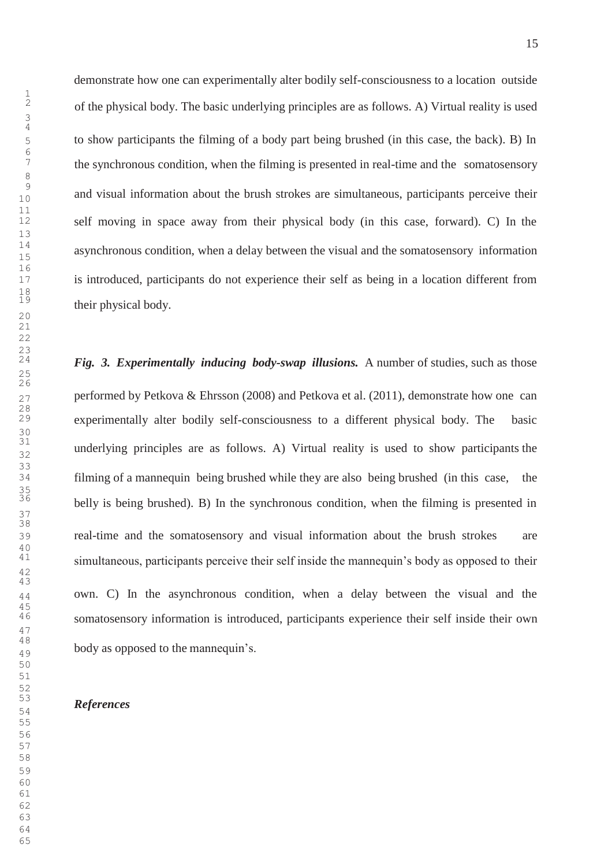demonstrate how one can experimentally alter bodily self-consciousness to a location outside of the physical body. The basic underlying principles are as follows. A) Virtual reality is used to show participants the filming of a body part being brushed (in this case, the back). B) In the synchronous condition, when the filming is presented in real-time and the somatosensory and visual information about the brush strokes are simultaneous, participants perceive their self moving in space away from their physical body (in this case, forward). C) In the asynchronous condition, when a delay between the visual and the somatosensory information is introduced, participants do not experience their self as being in a location different from their physical body.

Fig. 3. Experimentally inducing body-swap illusions. A number of studies, such as those performed by Petkova & Ehrsson (2008) and Petkova et al. (2011), demonstrate how one can experimentally alter bodily self-consciousness to a different physical body. The basic underlying principles are as follows. A) Virtual reality is used to show participants the filming of a mannequin being brushed while they are also being brushed (in this case, the belly is being brushed). B) In the synchronous condition, when the filming is presented in real-time and the somatosensory and visual information about the brush strokes are simultaneous, participants perceive their self inside the mannequin's body as opposed to their own. C) In the asynchronous condition, when a delay between the visual and the somatosensory information is introduced, participants experience their self inside their own body as opposed to the mannequin's.

### *References*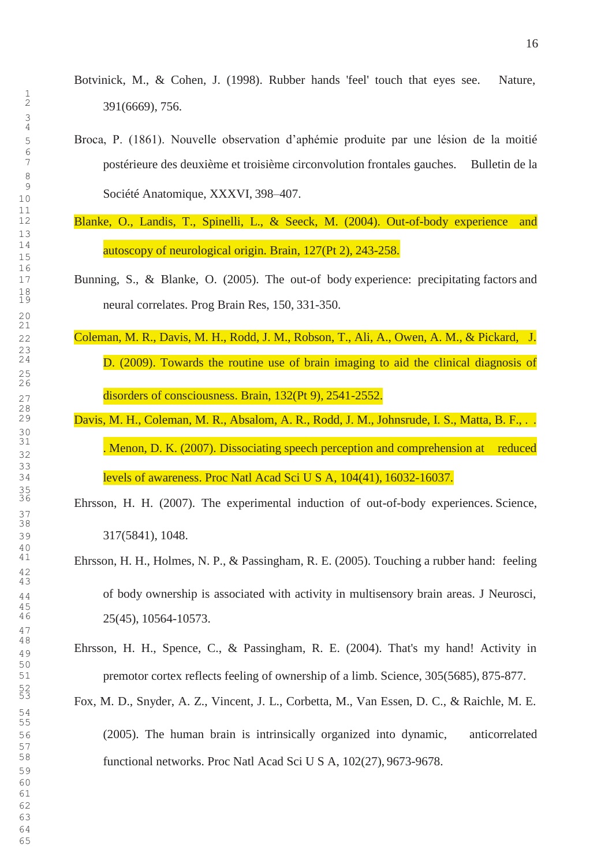- Botvinick, M., & Cohen, J. (1998). Rubber hands 'feel' touch that eyes see. Nature, 391(6669), 756.
- Broca, P. (1861). Nouvelle observation d'aphémie produite par une lésion de la moitié postérieure des deuxième et troisième circonvolution frontales gauches. Bulletin de la Société Anatomique, XXXVI, 398–407.
	- Blanke, O., Landis, T., Spinelli, L., & Seeck, M. (2004). Out-of-body experience and autoscopy of neurological origin. Brain, 127(Pt 2), 243-258.
- Bunning, S., & Blanke, O. (2005). The out-of body experience: precipitating factors and neural correlates. Prog Brain Res, 150, 331-350.
- Coleman, M. R., Davis, M. H., Rodd, J. M., Robson, T., Ali, A., Owen, A. M., & Pickard, J. D. (2009). Towards the routine use of brain imaging to aid the clinical diagnosis of disorders of consciousness. Brain, 132(Pt 9), 2541-2552.
- Davis, M. H., Coleman, M. R., Absalom, A. R., Rodd, J. M., Johnsrude, I. S., Matta, B. F., .. 31. Menon, D. K. (2007). Dissociating speech perception and comprehension at reduced levels of awareness. Proc Natl Acad Sci U S A, 104(41), 16032-16037.
- Ehrsson, H. H. (2007). The experimental induction of out-of-body experiences. Science, 317(5841), 1048.
- Ehrsson, H. H., Holmes, N. P., & Passingham, R. E. (2005). Touching a rubber hand: feeling of body ownership is associated with activity in multisensory brain areas. J Neurosci, 25(45), 10564-10573.
	- Ehrsson, H. H., Spence, C., & Passingham, R. E. (2004). That's my hand! Activity in premotor cortex reflects feeling of ownership of a limb. Science, 305(5685), 875-877.
- Fox, M. D., Snyder, A. Z., Vincent, J. L., Corbetta, M., Van Essen, D. C., & Raichle, M. E. (2005). The human brain is intrinsically organized into dynamic, anticorrelated functional networks. Proc Natl Acad Sci U S A, 102(27), 9673-9678.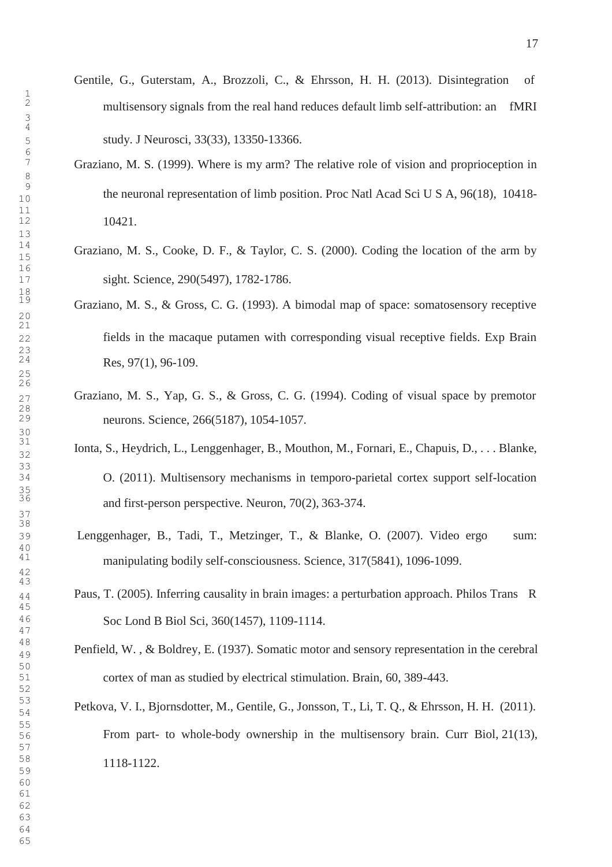- Graziano, M. S. (1999). Where is my arm? The relative role of vision and proprioception in the neuronal representation of limb position. Proc Natl Acad Sci U S A, 96(18), 10418- 10421.
- Graziano, M. S., Cooke, D. F., & Taylor, C. S. (2000). Coding the location of the arm by 17 sight. Science, 290(5497), 1782-1786.
- Graziano, M. S., & Gross, C. G. (1993). A bimodal map of space: somatosensory receptive fields in the macaque putamen with corresponding visual receptive fields. Exp Brain Res,  $97(1)$ , 96-109.
	- Graziano, M. S., Yap, G. S., & Gross, C. G. (1994). Coding of visual space by premotor neurons. Science, 266(5187), 1054-1057.
- Ionta, S., Heydrich, L., Lenggenhager, B., Mouthon, M., Fornari, E., Chapuis, D., . . . Blanke, O. (2011). Multisensory mechanisms in temporo-parietal cortex support self-location and first-person perspective. Neuron,  $70(2)$ , 363-374.
- Lenggenhager, B., Tadi, T., Metzinger, T., & Blanke, O. (2007). Video ergo sum: manipulating bodily self-consciousness. Science, 317(5841), 1096-1099.
- Soc Lond B Biol Sci, 360(1457), 1109-1114. Paus, T. (2005). Inferring causality in brain images: a perturbation approach. Philos Trans R
	- Penfield, W. , & Boldrey, E. (1937). Somatic motor and sensory representation in the cerebral cortex of man as studied by electrical stimulation. Brain, 60, 389-443.
	- Petkova, V. I., Bjornsdotter, M., Gentile, G., Jonsson, T., Li, T. Q., & Ehrsson, H. H. (2011). From part- to whole-body ownership in the multisensory brain. Curr Biol, 21(13), 1118-1122.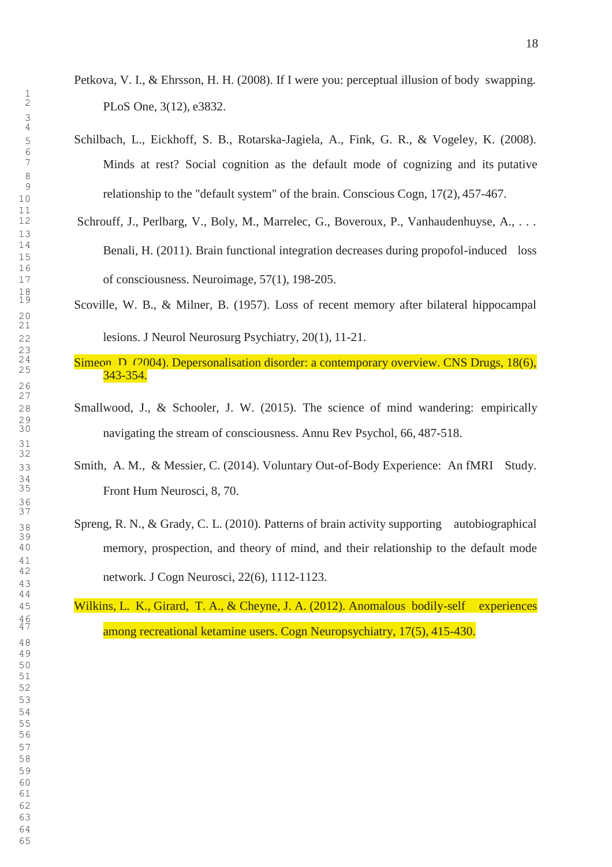- Petkova, V. I., & Ehrsson, H. H. (2008). If I were you: perceptual illusion of body swapping. PLoS One, 3(12), e3832.
- Schilbach, L., Eickhoff, S. B., Rotarska-Jagiela, A., Fink, G. R., & Vogeley, K. (2008). Minds at rest? Social cognition as the default mode of cognizing and its putative relationship to the "default system" of the brain. Conscious Cogn, 17(2), 457-467.
- Schrouff, J., Perlbarg, V., Boly, M., Marrelec, G., Boveroux, P., Vanhaudenhuyse, A., ... Benali, H. (2011). Brain functional integration decreases during propofol-induced loss of consciousness. Neuroimage, 57(1), 198-205.
- Scoville, W. B., & Milner, B. (1957). Loss of recent memory after bilateral hippocampal lesions. J Neurol Neurosurg Psychiatry, 20(1), 11-21.
	- Simeon, D. (2004). Depersonalisation disorder: a contemporary overview. CNS Drugs, 18(6), 343-354.
- Smallwood, J., & Schooler, J. W. (2015). The science of mind wandering: empirically navigating the stream of consciousness. Annu Rev Psychol, 66, 487-518.
- Smith, A. M., & Messier, C. (2014). Voluntary Out-of-Body Experience: An fMRI Study. Front Hum Neurosci, 8, 70.
	- Spreng, R. N., & Grady, C. L. (2010). Patterns of brain activity supporting autobiographical memory, prospection, and theory of mind, and their relationship to the default mode network. J Cogn Neurosci, 22(6), 1112-1123.
- Wilkins, L. K., Girard, T. A., & Cheyne, J. A. (2012). Anomalous bodily-self experiences among recreational ketamine users. Cogn Neuropsychiatry, 17(5), 415-430.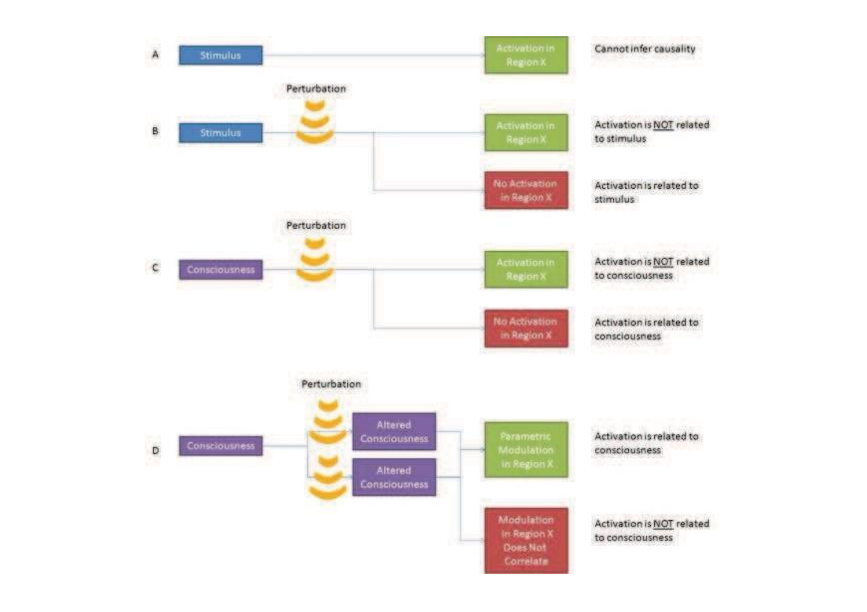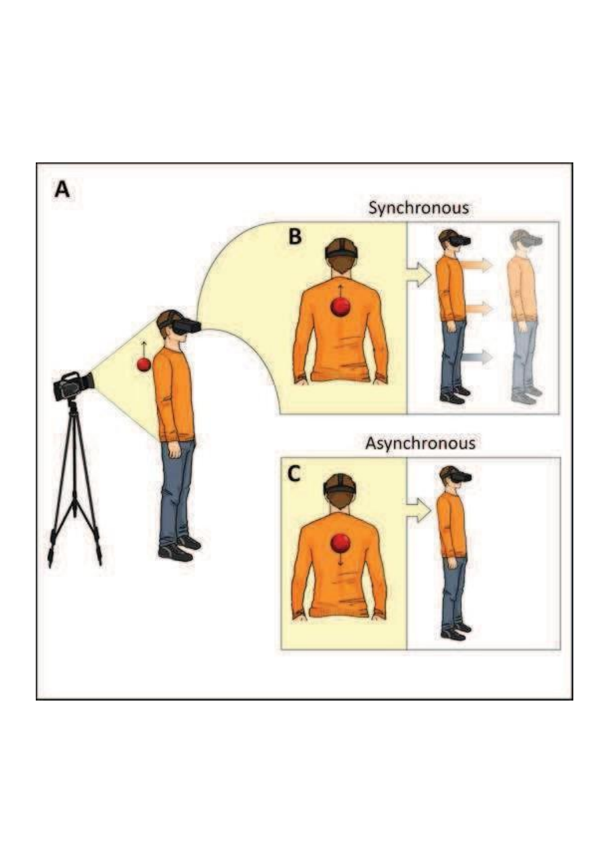